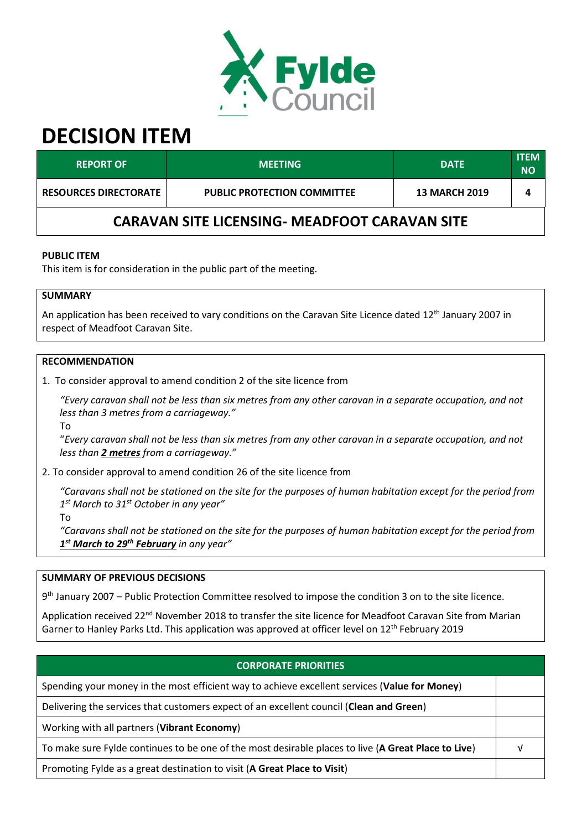

# **DECISION ITEM**

| <b>REPORT OF</b>                                     | <b>MEETING</b>                     | <b>DATE</b>          | <b>ITEM</b><br><b>NO</b> |  |  |
|------------------------------------------------------|------------------------------------|----------------------|--------------------------|--|--|
| <b>RESOURCES DIRECTORATE</b>                         | <b>PUBLIC PROTECTION COMMITTEE</b> | <b>13 MARCH 2019</b> |                          |  |  |
| <b>CARAVAN SITE LICENSING- MEADFOOT CARAVAN SITE</b> |                                    |                      |                          |  |  |

# **PUBLIC ITEM**

This item is for consideration in the public part of the meeting.

# **SUMMARY**

An application has been received to vary conditions on the Caravan Site Licence dated 12<sup>th</sup> January 2007 in respect of Meadfoot Caravan Site.

# **RECOMMENDATION**

1. To consider approval to amend condition 2 of the site licence from

*"Every caravan shall not be less than six metres from any other caravan in a separate occupation, and not less than 3 metres from a carriageway."*

To

"*Every caravan shall not be less than six metres from any other caravan in a separate occupation, and not less than 2 metres from a carriageway."*

# 2. To consider approval to amend condition 26 of the site licence from

*"Caravans shall not be stationed on the site for the purposes of human habitation except for the period from 1 st March to 31st October in any year"*

To

*"Caravans shall not be stationed on the site for the purposes of human habitation except for the period from 1 st March to 29th February in any year"*

#### **SUMMARY OF PREVIOUS DECISIONS**

9<sup>th</sup> January 2007 – Public Protection Committee resolved to impose the condition 3 on to the site licence.

Application received 22<sup>nd</sup> November 2018 to transfer the site licence for Meadfoot Caravan Site from Marian Garner to Hanley Parks Ltd. This application was approved at officer level on  $12<sup>th</sup>$  February 2019

# **CORPORATE PRIORITIES**

Spending your money in the most efficient way to achieve excellent services (**Value for Money**)

Delivering the services that customers expect of an excellent council (**Clean and Green**)

Working with all partners (**Vibrant Economy**)

To make sure Fylde continues to be one of the most desirable places to live (**A Great Place to Live**) √

Promoting Fylde as a great destination to visit (**A Great Place to Visit**)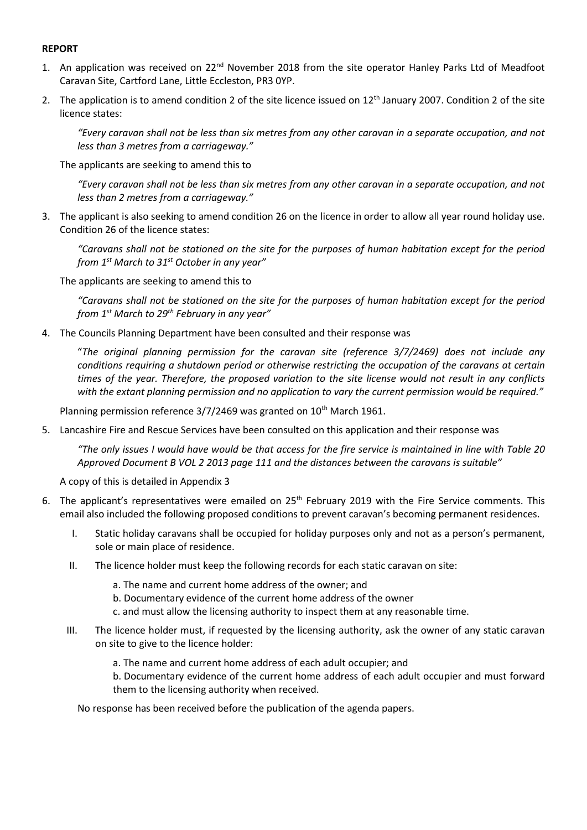## **REPORT**

- 1. An application was received on 22<sup>nd</sup> November 2018 from the site operator Hanley Parks Ltd of Meadfoot Caravan Site, Cartford Lane, Little Eccleston, PR3 0YP.
- 2. The application is to amend condition 2 of the site licence issued on 12<sup>th</sup> January 2007. Condition 2 of the site licence states:

*"Every caravan shall not be less than six metres from any other caravan in a separate occupation, and not less than 3 metres from a carriageway."*

The applicants are seeking to amend this to

*"Every caravan shall not be less than six metres from any other caravan in a separate occupation, and not less than 2 metres from a carriageway."*

3. The applicant is also seeking to amend condition 26 on the licence in order to allow all year round holiday use. Condition 26 of the licence states:

*"Caravans shall not be stationed on the site for the purposes of human habitation except for the period from 1st March to 31st October in any year"*

The applicants are seeking to amend this to

*"Caravans shall not be stationed on the site for the purposes of human habitation except for the period from 1st March to 29th February in any year"*

4. The Councils Planning Department have been consulted and their response was

"*The original planning permission for the caravan site (reference 3/7/2469) does not include any conditions requiring a shutdown period or otherwise restricting the occupation of the caravans at certain times of the year. Therefore, the proposed variation to the site license would not result in any conflicts with the extant planning permission and no application to vary the current permission would be required."*

Planning permission reference  $3/7/2469$  was granted on  $10<sup>th</sup>$  March 1961.

5. Lancashire Fire and Rescue Services have been consulted on this application and their response was

*"The only issues I would have would be that access for the fire service is maintained in line with Table 20*  Approved Document B VOL 2 2013 page 111 and the distances between the caravans is suitable"

A copy of this is detailed in Appendix 3

- 6. The applicant's representatives were emailed on 25<sup>th</sup> February 2019 with the Fire Service comments. This email also included the following proposed conditions to prevent caravan's becoming permanent residences.
	- I. Static holiday caravans shall be occupied for holiday purposes only and not as a person's permanent, sole or main place of residence.
	- II. The licence holder must keep the following records for each static caravan on site:
		- a. The name and current home address of the owner; and
		- b. Documentary evidence of the current home address of the owner
		- c. and must allow the licensing authority to inspect them at any reasonable time.
	- III. The licence holder must, if requested by the licensing authority, ask the owner of any static caravan on site to give to the licence holder:
		- a. The name and current home address of each adult occupier; and

b. Documentary evidence of the current home address of each adult occupier and must forward them to the licensing authority when received.

No response has been received before the publication of the agenda papers.